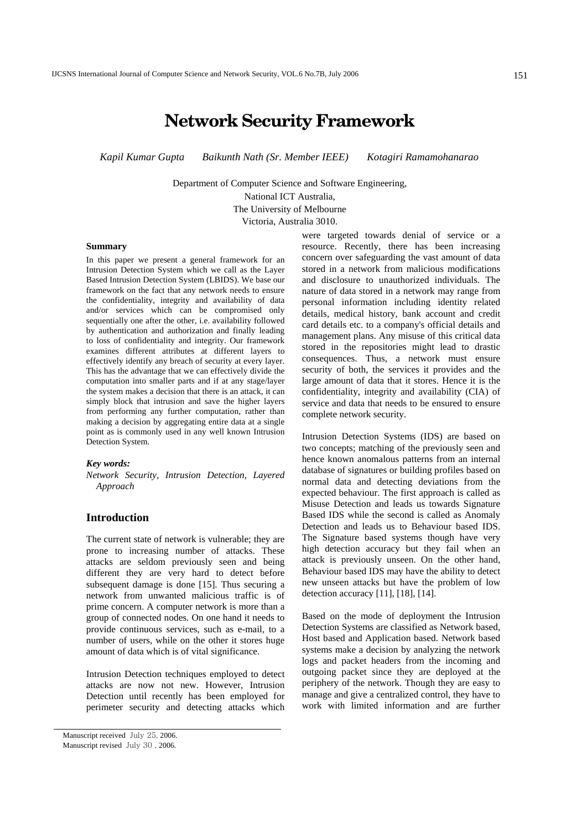# **Network Security Framework**

*Kapil Kumar Gupta Baikunth Nath (Sr. Member IEEE) Kotagiri Ramamohanarao* 

Department of Computer Science and Software Engineering,

National ICT Australia,

The University of Melbourne Victoria, Australia 3010.

#### **Summary**

In this paper we present a general framework for an Intrusion Detection System which we call as the Layer Based Intrusion Detection System (LBIDS). We base our framework on the fact that any network needs to ensure the confidentiality, integrity and availability of data and/or services which can be compromised only sequentially one after the other, i.e. availability followed by authentication and authorization and finally leading to loss of confidentiality and integrity. Our framework examines different attributes at different layers to effectively identify any breach of security at every layer. This has the advantage that we can effectively divide the computation into smaller parts and if at any stage/layer the system makes a decision that there is an attack, it can simply block that intrusion and save the higher layers from performing any further computation, rather than making a decision by aggregating entire data at a single point as is commonly used in any well known Intrusion Detection System.

#### *Key words:*

*Network Security, Intrusion Detection, Layered Approach*

# **Introduction**

The current state of network is vulnerable; they are prone to increasing number of attacks. These attacks are seldom previously seen and being different they are very hard to detect before subsequent damage is done [15]. Thus securing a network from unwanted malicious traffic is of prime concern. A computer network is more than a group of connected nodes. On one hand it needs to provide continuous services, such as e-mail, to a number of users, while on the other it stores huge amount of data which is of vital significance.

Intrusion Detection techniques employed to detect attacks are now not new. However, Intrusion Detection until recently has been employed for perimeter security and detecting attacks which were targeted towards denial of service or a resource. Recently, there has been increasing concern over safeguarding the vast amount of data stored in a network from malicious modifications and disclosure to unauthorized individuals. The nature of data stored in a network may range from personal information including identity related details, medical history, bank account and credit card details etc. to a company's official details and management plans. Any misuse of this critical data stored in the repositories might lead to drastic consequences. Thus, a network must ensure security of both, the services it provides and the large amount of data that it stores. Hence it is the confidentiality, integrity and availability (CIA) of service and data that needs to be ensured to ensure complete network security.

Intrusion Detection Systems (IDS) are based on two concepts; matching of the previously seen and hence known anomalous patterns from an internal database of signatures or building profiles based on normal data and detecting deviations from the expected behaviour. The first approach is called as Misuse Detection and leads us towards Signature Based IDS while the second is called as Anomaly Detection and leads us to Behaviour based IDS. The Signature based systems though have very high detection accuracy but they fail when an attack is previously unseen. On the other hand, Behaviour based IDS may have the ability to detect new unseen attacks but have the problem of low detection accuracy [11], [18], [14].

Based on the mode of deployment the Intrusion Detection Systems are classified as Network based, Host based and Application based. Network based systems make a decision by analyzing the network logs and packet headers from the incoming and outgoing packet since they are deployed at the periphery of the network. Though they are easy to manage and give a centralized control, they have to work with limited information and are further

Manuscript received July 25, 2006. Manuscript revised July 30 , 2006.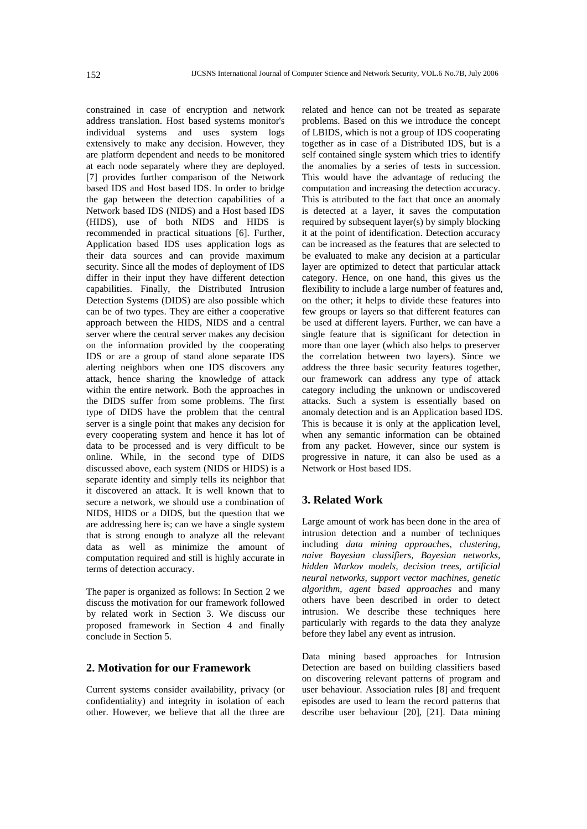constrained in case of encryption and network address translation. Host based systems monitor's individual systems and uses system logs extensively to make any decision. However, they are platform dependent and needs to be monitored at each node separately where they are deployed. [7] provides further comparison of the Network based IDS and Host based IDS. In order to bridge the gap between the detection capabilities of a Network based IDS (NIDS) and a Host based IDS (HIDS), use of both NIDS and HIDS is recommended in practical situations [6]. Further, Application based IDS uses application logs as their data sources and can provide maximum security. Since all the modes of deployment of IDS differ in their input they have different detection capabilities. Finally, the Distributed Intrusion Detection Systems (DIDS) are also possible which can be of two types. They are either a cooperative approach between the HIDS, NIDS and a central server where the central server makes any decision on the information provided by the cooperating IDS or are a group of stand alone separate IDS alerting neighbors when one IDS discovers any attack, hence sharing the knowledge of attack within the entire network. Both the approaches in the DIDS suffer from some problems. The first type of DIDS have the problem that the central server is a single point that makes any decision for every cooperating system and hence it has lot of data to be processed and is very difficult to be online. While, in the second type of DIDS discussed above, each system (NIDS or HIDS) is a separate identity and simply tells its neighbor that it discovered an attack. It is well known that to secure a network, we should use a combination of NIDS, HIDS or a DIDS, but the question that we are addressing here is; can we have a single system that is strong enough to analyze all the relevant data as well as minimize the amount of computation required and still is highly accurate in terms of detection accuracy.

The paper is organized as follows: In Section 2 we discuss the motivation for our framework followed by related work in Section 3. We discuss our proposed framework in Section 4 and finally conclude in Section 5.

# **2. Motivation for our Framework**

Current systems consider availability, privacy (or confidentiality) and integrity in isolation of each other. However, we believe that all the three are related and hence can not be treated as separate problems. Based on this we introduce the concept of LBIDS, which is not a group of IDS cooperating together as in case of a Distributed IDS, but is a self contained single system which tries to identify the anomalies by a series of tests in succession. This would have the advantage of reducing the computation and increasing the detection accuracy. This is attributed to the fact that once an anomaly is detected at a layer, it saves the computation required by subsequent layer(s) by simply blocking it at the point of identification. Detection accuracy can be increased as the features that are selected to be evaluated to make any decision at a particular layer are optimized to detect that particular attack category. Hence, on one hand, this gives us the flexibility to include a large number of features and, on the other; it helps to divide these features into few groups or layers so that different features can be used at different layers. Further, we can have a single feature that is significant for detection in more than one layer (which also helps to preserver the correlation between two layers). Since we address the three basic security features together, our framework can address any type of attack category including the unknown or undiscovered attacks. Such a system is essentially based on anomaly detection and is an Application based IDS. This is because it is only at the application level, when any semantic information can be obtained from any packet. However, since our system is progressive in nature, it can also be used as a Network or Host based IDS.

# **3. Related Work**

Large amount of work has been done in the area of intrusion detection and a number of techniques including *data mining approaches, clustering, naive Bayesian classifiers, Bayesian networks, hidden Markov models, decision trees, artificial neural networks, support vector machines, genetic algorithm, agent based approaches* and many others have been described in order to detect intrusion. We describe these techniques here particularly with regards to the data they analyze before they label any event as intrusion.

Data mining based approaches for Intrusion Detection are based on building classifiers based on discovering relevant patterns of program and user behaviour. Association rules [8] and frequent episodes are used to learn the record patterns that describe user behaviour [20], [21]. Data mining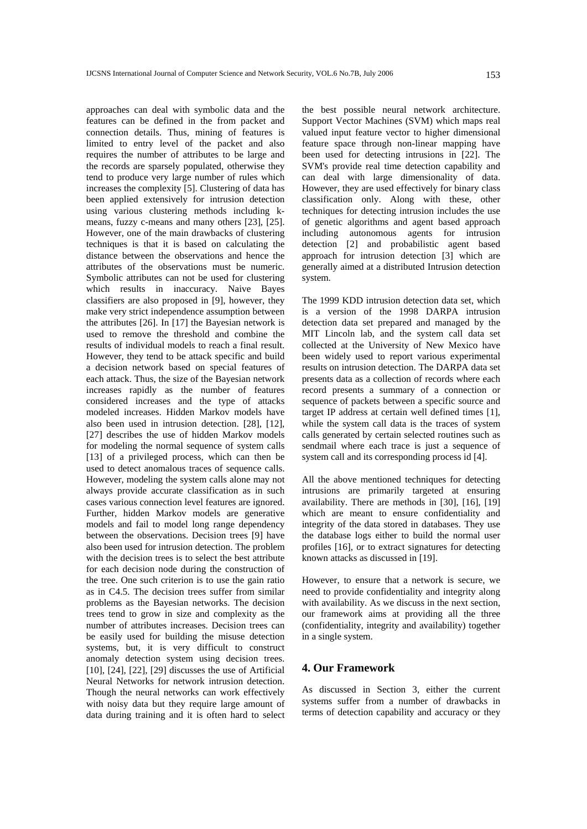approaches can deal with symbolic data and the features can be defined in the from packet and connection details. Thus, mining of features is limited to entry level of the packet and also requires the number of attributes to be large and the records are sparsely populated, otherwise they tend to produce very large number of rules which increases the complexity [5]. Clustering of data has been applied extensively for intrusion detection using various clustering methods including kmeans, fuzzy c-means and many others [23], [25]. However, one of the main drawbacks of clustering techniques is that it is based on calculating the distance between the observations and hence the attributes of the observations must be numeric. Symbolic attributes can not be used for clustering which results in inaccuracy. Naive Bayes classifiers are also proposed in [9], however, they make very strict independence assumption between the attributes [26]. In [17] the Bayesian network is used to remove the threshold and combine the results of individual models to reach a final result. However, they tend to be attack specific and build a decision network based on special features of each attack. Thus, the size of the Bayesian network increases rapidly as the number of features considered increases and the type of attacks modeled increases. Hidden Markov models have also been used in intrusion detection. [28], [12], [27] describes the use of hidden Markov models for modeling the normal sequence of system calls [13] of a privileged process, which can then be used to detect anomalous traces of sequence calls. However, modeling the system calls alone may not always provide accurate classification as in such cases various connection level features are ignored. Further, hidden Markov models are generative models and fail to model long range dependency between the observations. Decision trees [9] have also been used for intrusion detection. The problem with the decision trees is to select the best attribute for each decision node during the construction of the tree. One such criterion is to use the gain ratio as in C4.5. The decision trees suffer from similar problems as the Bayesian networks. The decision trees tend to grow in size and complexity as the number of attributes increases. Decision trees can be easily used for building the misuse detection systems, but, it is very difficult to construct anomaly detection system using decision trees. [10], [24], [22], [29] discusses the use of Artificial Neural Networks for network intrusion detection. Though the neural networks can work effectively with noisy data but they require large amount of data during training and it is often hard to select

the best possible neural network architecture. Support Vector Machines (SVM) which maps real valued input feature vector to higher dimensional feature space through non-linear mapping have been used for detecting intrusions in [22]. The SVM's provide real time detection capability and can deal with large dimensionality of data. However, they are used effectively for binary class classification only. Along with these, other techniques for detecting intrusion includes the use of genetic algorithms and agent based approach including autonomous agents for intrusion detection [2] and probabilistic agent based approach for intrusion detection [3] which are generally aimed at a distributed Intrusion detection system.

The 1999 KDD intrusion detection data set, which is a version of the 1998 DARPA intrusion detection data set prepared and managed by the MIT Lincoln lab, and the system call data set collected at the University of New Mexico have been widely used to report various experimental results on intrusion detection. The DARPA data set presents data as a collection of records where each record presents a summary of a connection or sequence of packets between a specific source and target IP address at certain well defined times [1], while the system call data is the traces of system calls generated by certain selected routines such as sendmail where each trace is just a sequence of system call and its corresponding process id [4].

All the above mentioned techniques for detecting intrusions are primarily targeted at ensuring availability. There are methods in [30], [16], [19] which are meant to ensure confidentiality and integrity of the data stored in databases. They use the database logs either to build the normal user profiles [16], or to extract signatures for detecting known attacks as discussed in [19].

However, to ensure that a network is secure, we need to provide confidentiality and integrity along with availability. As we discuss in the next section, our framework aims at providing all the three (confidentiality, integrity and availability) together in a single system.

# **4. Our Framework**

As discussed in Section 3, either the current systems suffer from a number of drawbacks in terms of detection capability and accuracy or they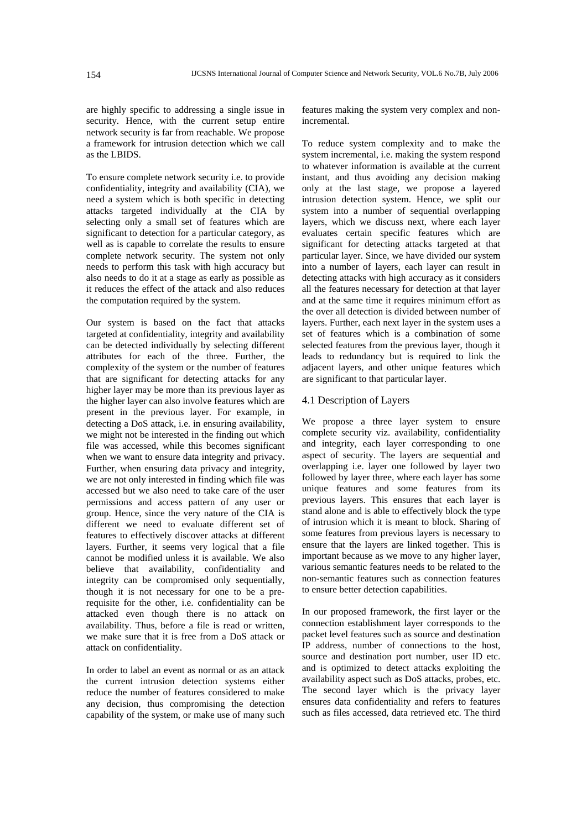are highly specific to addressing a single issue in security. Hence, with the current setup entire network security is far from reachable. We propose a framework for intrusion detection which we call as the LBIDS.

To ensure complete network security i.e. to provide confidentiality, integrity and availability (CIA), we need a system which is both specific in detecting attacks targeted individually at the CIA by selecting only a small set of features which are significant to detection for a particular category, as well as is capable to correlate the results to ensure complete network security. The system not only needs to perform this task with high accuracy but also needs to do it at a stage as early as possible as it reduces the effect of the attack and also reduces the computation required by the system.

Our system is based on the fact that attacks targeted at confidentiality, integrity and availability can be detected individually by selecting different attributes for each of the three. Further, the complexity of the system or the number of features that are significant for detecting attacks for any higher layer may be more than its previous layer as the higher layer can also involve features which are present in the previous layer. For example, in detecting a DoS attack, i.e. in ensuring availability, we might not be interested in the finding out which file was accessed, while this becomes significant when we want to ensure data integrity and privacy. Further, when ensuring data privacy and integrity, we are not only interested in finding which file was accessed but we also need to take care of the user permissions and access pattern of any user or group. Hence, since the very nature of the CIA is different we need to evaluate different set of features to effectively discover attacks at different layers. Further, it seems very logical that a file cannot be modified unless it is available. We also believe that availability, confidentiality and integrity can be compromised only sequentially, though it is not necessary for one to be a prerequisite for the other, i.e. confidentiality can be attacked even though there is no attack on availability. Thus, before a file is read or written, we make sure that it is free from a DoS attack or attack on confidentiality.

In order to label an event as normal or as an attack the current intrusion detection systems either reduce the number of features considered to make any decision, thus compromising the detection capability of the system, or make use of many such

features making the system very complex and nonincremental.

To reduce system complexity and to make the system incremental, i.e. making the system respond to whatever information is available at the current instant, and thus avoiding any decision making only at the last stage, we propose a layered intrusion detection system. Hence, we split our system into a number of sequential overlapping layers, which we discuss next, where each layer evaluates certain specific features which are significant for detecting attacks targeted at that particular layer. Since, we have divided our system into a number of layers, each layer can result in detecting attacks with high accuracy as it considers all the features necessary for detection at that layer and at the same time it requires minimum effort as the over all detection is divided between number of layers. Further, each next layer in the system uses a set of features which is a combination of some selected features from the previous layer, though it leads to redundancy but is required to link the adjacent layers, and other unique features which are significant to that particular layer.

### 4.1 Description of Layers

We propose a three layer system to ensure complete security viz. availability, confidentiality and integrity, each layer corresponding to one aspect of security. The layers are sequential and overlapping i.e. layer one followed by layer two followed by layer three, where each layer has some unique features and some features from its previous layers. This ensures that each layer is stand alone and is able to effectively block the type of intrusion which it is meant to block. Sharing of some features from previous layers is necessary to ensure that the layers are linked together. This is important because as we move to any higher layer, various semantic features needs to be related to the non-semantic features such as connection features to ensure better detection capabilities.

In our proposed framework, the first layer or the connection establishment layer corresponds to the packet level features such as source and destination IP address, number of connections to the host, source and destination port number, user ID etc. and is optimized to detect attacks exploiting the availability aspect such as DoS attacks, probes, etc. The second layer which is the privacy layer ensures data confidentiality and refers to features such as files accessed, data retrieved etc. The third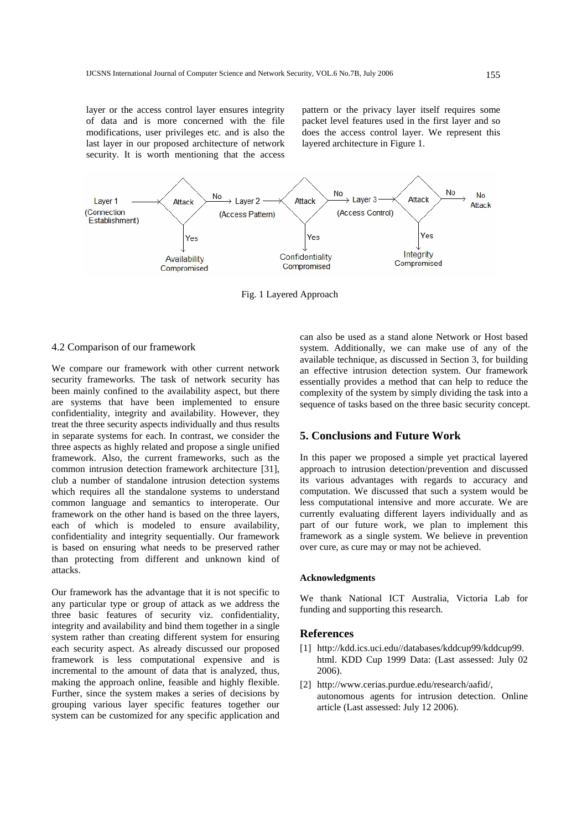layer or the access control layer ensures integrity of data and is more concerned with the file modifications, user privileges etc. and is also the last layer in our proposed architecture of network security. It is worth mentioning that the access

pattern or the privacy layer itself requires some packet level features used in the first layer and so does the access control layer. We represent this layered architecture in Figure 1.



Fig. 1 Layered Approach

#### 4.2 Comparison of our framework

We compare our framework with other current network security frameworks. The task of network security has been mainly confined to the availability aspect, but there are systems that have been implemented to ensure confidentiality, integrity and availability. However, they treat the three security aspects individually and thus results in separate systems for each. In contrast, we consider the three aspects as highly related and propose a single unified framework. Also, the current frameworks, such as the common intrusion detection framework architecture [31], club a number of standalone intrusion detection systems which requires all the standalone systems to understand common language and semantics to interoperate. Our framework on the other hand is based on the three layers, each of which is modeled to ensure availability, confidentiality and integrity sequentially. Our framework is based on ensuring what needs to be preserved rather than protecting from different and unknown kind of attacks.

Our framework has the advantage that it is not specific to any particular type or group of attack as we address the three basic features of security viz. confidentiality, integrity and availability and bind them together in a single system rather than creating different system for ensuring each security aspect. As already discussed our proposed framework is less computational expensive and is incremental to the amount of data that is analyzed, thus, making the approach online, feasible and highly flexible. Further, since the system makes a series of decisions by grouping various layer specific features together our system can be customized for any specific application and can also be used as a stand alone Network or Host based system. Additionally, we can make use of any of the available technique, as discussed in Section 3, for building an effective intrusion detection system. Our framework essentially provides a method that can help to reduce the complexity of the system by simply dividing the task into a sequence of tasks based on the three basic security concept.

## **5. Conclusions and Future Work**

In this paper we proposed a simple yet practical layered approach to intrusion detection/prevention and discussed its various advantages with regards to accuracy and computation. We discussed that such a system would be less computational intensive and more accurate. We are currently evaluating different layers individually and as part of our future work, we plan to implement this framework as a single system. We believe in prevention over cure, as cure may or may not be achieved.

#### **Acknowledgments**

We thank National ICT Australia, Victoria Lab for funding and supporting this research.

#### **References**

- [1] http://kdd.ics.uci.edu//databases/kddcup99/kddcup99. html. KDD Cup 1999 Data: (Last assessed: July 02 2006).
- [2] http://www.cerias.purdue.edu/research/aafid/, autonomous agents for intrusion detection. Online article (Last assessed: July 12 2006).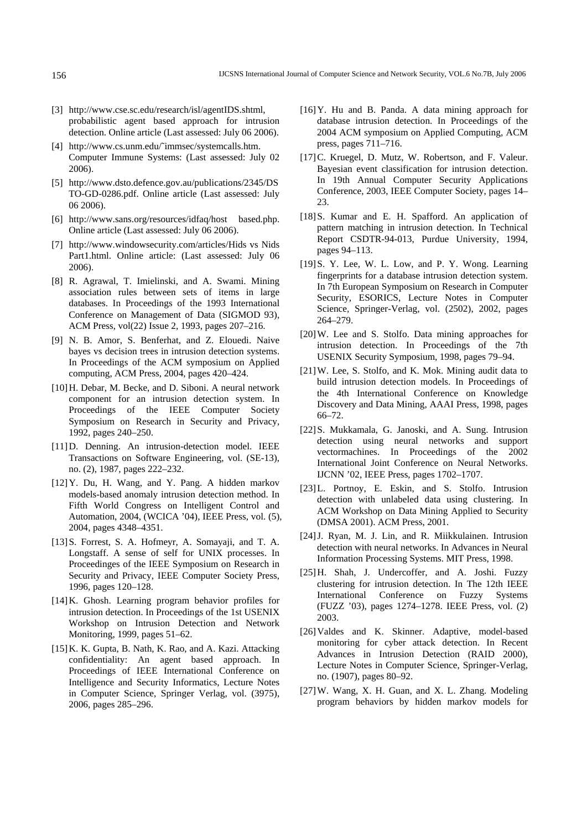- [3] http://www.cse.sc.edu/research/isl/agentIDS.shtml, probabilistic agent based approach for intrusion detection. Online article (Last assessed: July 06 2006).
- [4] http://www.cs.unm.edu/~immsec/systemcalls.htm. Computer Immune Systems: (Last assessed: July 02 2006).
- [5] http://www.dsto.defence.gov.au/publications/2345/DS TO-GD-0286.pdf. Online article (Last assessed: July 06 2006).
- [6] http://www.sans.org/resources/idfaq/host based.php. Online article (Last assessed: July 06 2006).
- [7] http://www.windowsecurity.com/articles/Hids vs Nids Part1.html. Online article: (Last assessed: July 06 2006).
- [8] R. Agrawal, T. Imielinski, and A. Swami. Mining association rules between sets of items in large databases. In Proceedings of the 1993 International Conference on Management of Data (SIGMOD 93), ACM Press, vol(22) Issue 2, 1993, pages 207–216.
- [9] N. B. Amor, S. Benferhat, and Z. Elouedi. Naive bayes vs decision trees in intrusion detection systems. In Proceedings of the ACM symposium on Applied computing, ACM Press, 2004, pages 420–424.
- [10]H. Debar, M. Becke, and D. Siboni. A neural network component for an intrusion detection system. In Proceedings of the IEEE Computer Society Symposium on Research in Security and Privacy, 1992, pages 240–250.
- [11]D. Denning. An intrusion-detection model. IEEE Transactions on Software Engineering, vol. (SE-13), no. (2), 1987, pages 222–232.
- [12]Y. Du, H. Wang, and Y. Pang. A hidden markov models-based anomaly intrusion detection method. In Fifth World Congress on Intelligent Control and Automation, 2004, (WCICA '04), IEEE Press, vol. (5), 2004, pages 4348–4351.
- [13]S. Forrest, S. A. Hofmeyr, A. Somayaji, and T. A. Longstaff. A sense of self for UNIX processes. In Proceedinges of the IEEE Symposium on Research in Security and Privacy, IEEE Computer Society Press, 1996, pages 120–128.
- [14]K. Ghosh. Learning program behavior profiles for intrusion detection. In Proceedings of the 1st USENIX Workshop on Intrusion Detection and Network Monitoring, 1999, pages 51–62.
- [15]K. K. Gupta, B. Nath, K. Rao, and A. Kazi. Attacking confidentiality: An agent based approach. In Proceedings of IEEE International Conference on Intelligence and Security Informatics, Lecture Notes in Computer Science, Springer Verlag, vol. (3975), 2006, pages 285–296.
- [16]Y. Hu and B. Panda. A data mining approach for database intrusion detection. In Proceedings of the 2004 ACM symposium on Applied Computing, ACM press, pages 711–716.
- [17]C. Kruegel, D. Mutz, W. Robertson, and F. Valeur. Bayesian event classification for intrusion detection. In 19th Annual Computer Security Applications Conference, 2003, IEEE Computer Society, pages 14– 23.
- [18]S. Kumar and E. H. Spafford. An application of pattern matching in intrusion detection. In Technical Report CSDTR-94-013, Purdue University, 1994, pages 94–113.
- [19] S. Y. Lee, W. L. Low, and P. Y. Wong. Learning fingerprints for a database intrusion detection system. In 7th European Symposium on Research in Computer Security, ESORICS, Lecture Notes in Computer Science, Springer-Verlag, vol. (2502), 2002, pages 264–279.
- [20]W. Lee and S. Stolfo. Data mining approaches for intrusion detection. In Proceedings of the 7th USENIX Security Symposium, 1998, pages 79–94.
- [21]W. Lee, S. Stolfo, and K. Mok. Mining audit data to build intrusion detection models. In Proceedings of the 4th International Conference on Knowledge Discovery and Data Mining, AAAI Press, 1998, pages 66–72.
- [22]S. Mukkamala, G. Janoski, and A. Sung. Intrusion detection using neural networks and support vectormachines. In Proceedings of the 2002 International Joint Conference on Neural Networks. IJCNN '02, IEEE Press, pages 1702–1707.
- [23]L. Portnoy, E. Eskin, and S. Stolfo. Intrusion detection with unlabeled data using clustering. In ACM Workshop on Data Mining Applied to Security (DMSA 2001). ACM Press, 2001.
- [24]J. Ryan, M. J. Lin, and R. Miikkulainen. Intrusion detection with neural networks. In Advances in Neural Information Processing Systems. MIT Press, 1998.
- [25]H. Shah, J. Undercoffer, and A. Joshi. Fuzzy clustering for intrusion detection. In The 12th IEEE International Conference on Fuzzy Systems (FUZZ '03), pages 1274–1278. IEEE Press, vol. (2) 2003.
- [26]Valdes and K. Skinner. Adaptive, model-based monitoring for cyber attack detection. In Recent Advances in Intrusion Detection (RAID 2000), Lecture Notes in Computer Science, Springer-Verlag, no. (1907), pages 80–92.
- [27]W. Wang, X. H. Guan, and X. L. Zhang. Modeling program behaviors by hidden markov models for